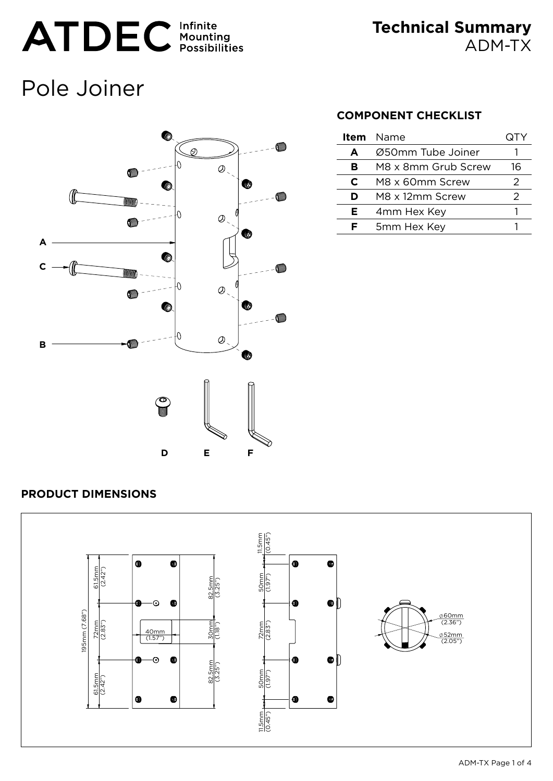# ATDEC Infinite

**Technical Summary** ADM-TX

# Pole Joiner



# **COMPONENT CHECKLIST**

| Item | Name                | (JIY |
|------|---------------------|------|
| A    | Ø50mm Tube Joiner   |      |
| в    | M8 x 8mm Grub Screw | 16   |
| C    | M8 x 60mm Screw     | 2    |
| D    | M8 x 12mm Screw     | 2    |
| Е    | 4mm Hex Key         |      |
| c    | 5mm Hex Key         |      |

# **PRODUCT DIMENSIONS**

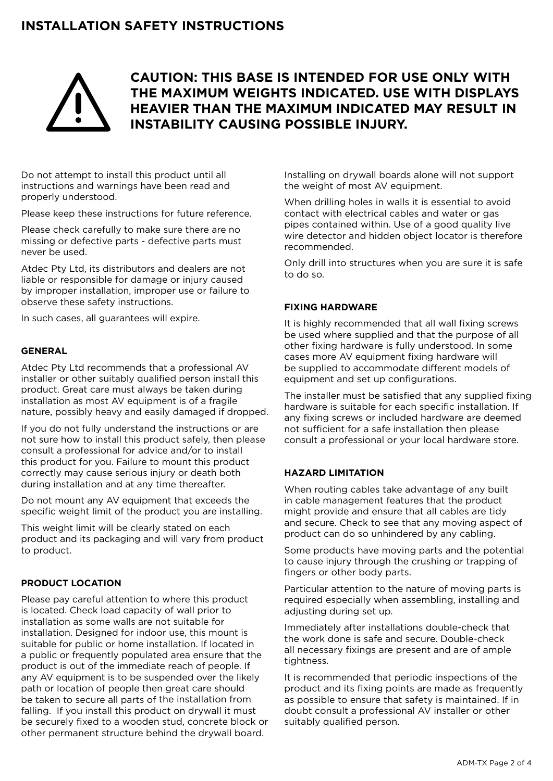# **Installation Safety Instructions**



# **CAUTION: This BASE is intended for use only with the maximum weights indicated. Use with displays heavier than the maximum indicated may result in instability causing possible injury.**

Do not attempt to install this product until all instructions and warnings have been read and properly understood.

Please keep these instructions for future reference.

Please check carefully to make sure there are no missing or defective parts - defective parts must never be used.

Atdec Pty Ltd, its distributors and dealers are not liable or responsible for damage or injury caused by improper installation, improper use or failure to observe these safety instructions.

In such cases, all guarantees will expire.

#### **General**

Atdec Pty Ltd recommends that a professional AV installer or other suitably qualified person install this product. Great care must always be taken during installation as most AV equipment is of a fragile nature, possibly heavy and easily damaged if dropped.

If you do not fully understand the instructions or are not sure how to install this product safely, then please consult a professional for advice and/or to install this product for you. Failure to mount this product correctly may cause serious injury or death both during installation and at any time thereafter.

Do not mount any AV equipment that exceeds the specific weight limit of the product you are installing.

This weight limit will be clearly stated on each product and its packaging and will vary from product to product.

#### **Product Location**

Please pay careful attention to where this product is located. Check load capacity of wall prior to installation as some walls are not suitable for installation. Designed for indoor use, this mount is suitable for public or home installation. If located in a public or frequently populated area ensure that the product is out of the immediate reach of people. If any AV equipment is to be suspended over the likely path or location of people then great care should be taken to secure all parts of the installation from falling. If you install this product on drywall it must be securely fixed to a wooden stud, concrete block or other permanent structure behind the drywall board.

Installing on drywall boards alone will not support the weight of most AV equipment.

When drilling holes in walls it is essential to avoid contact with electrical cables and water or gas pipes contained within. Use of a good quality live wire detector and hidden object locator is therefore recommended.

Only drill into structures when you are sure it is safe to do so.

#### **Fixing Hardware**

It is highly recommended that all wall fixing screws be used where supplied and that the purpose of all other fixing hardware is fully understood. In some cases more AV equipment fixing hardware will be supplied to accommodate different models of equipment and set up configurations.

The installer must be satisfied that any supplied fixing hardware is suitable for each specific installation. If any fixing screws or included hardware are deemed not sufficient for a safe installation then please consult a professional or your local hardware store.

#### **Hazard Limitation**

When routing cables take advantage of any built in cable management features that the product might provide and ensure that all cables are tidy and secure. Check to see that any moving aspect of product can do so unhindered by any cabling.

Some products have moving parts and the potential to cause injury through the crushing or trapping of fingers or other body parts.

Particular attention to the nature of moving parts is required especially when assembling, installing and adjusting during set up.

Immediately after installations double-check that the work done is safe and secure. Double-check all necessary fixings are present and are of ample tightness.

It is recommended that periodic inspections of the product and its fixing points are made as frequently as possible to ensure that safety is maintained. If in doubt consult a professional AV installer or other suitably qualified person.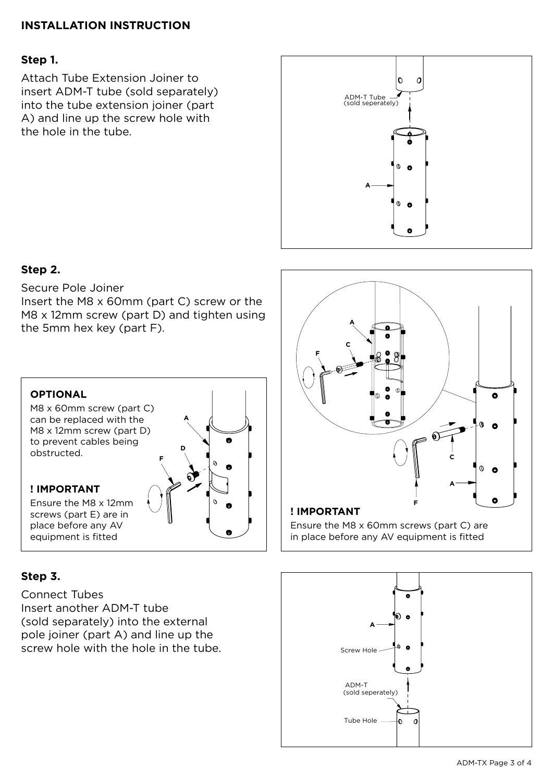# **INSTALLATION INSTRUCTION**

# **Step 1.**

Attach Tube Extension Joiner to insert ADM-T tube (sold separately) into the tube extension joiner (part A) and line up the screw hole with the hole in the tube.



# **Step 2.**

Secure Pole Joiner

Insert the M8 x 60mm (part C) screw or the M8 x 12mm screw (part D) and tighten using the 5mm hex key (part F).



# **Step 3.**

Connect Tubes Insert another ADM-T tube (sold separately) into the external pole joiner (part A) and line up the screw hole with the hole in the tube.